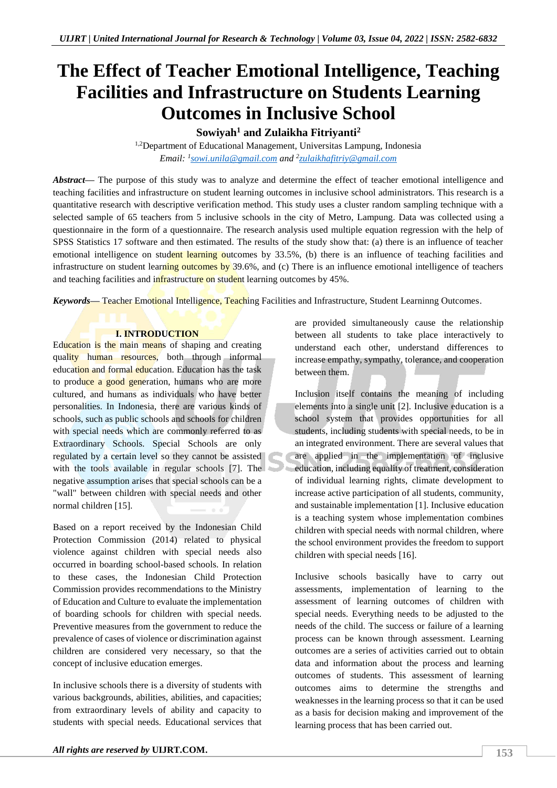## **The Effect of Teacher Emotional Intelligence, Teaching Facilities and Infrastructure on Students Learning Outcomes in Inclusive School**

**Sowiyah<sup>1</sup> and Zulaikha Fitriyanti<sup>2</sup>**

<sup>1,2</sup>Department of Educational Management, Universitas Lampung, Indonesia *Email: <sup>1</sup> [sowi.unila@gmail.com](mailto:sowi.unila@gmail.com) and <sup>2</sup> [zulaikhafitriy@gmail.com](mailto:zulaikhafitriy@gmail.com)*

*Abstract—* The purpose of this study was to analyze and determine the effect of teacher emotional intelligence and teaching facilities and infrastructure on student learning outcomes in inclusive school administrators. This research is a quantitative research with descriptive verification method. This study uses a cluster random sampling technique with a selected sample of 65 teachers from 5 inclusive schools in the city of Metro, Lampung. Data was collected using a questionnaire in the form of a questionnaire. The research analysis used multiple equation regression with the help of SPSS Statistics 17 software and then estimated. The results of the study show that: (a) there is an influence of teacher emotional intelligence on student learning outcomes by 33.5%, (b) there is an influence of teaching facilities and infrastructure on student learning outcomes by 39.6%, and (c) There is an influence emotional intelligence of teachers and teaching facilities and infrastructure on student learning outcomes by 45%.

*Keywords—* Teacher Emotional Intelligence, Teaching Facilities and Infrastructure, Student Learninng Outcomes.

#### **I. INTRODUCTION**

Education is the main means of shaping and creating quality human resources, both through informal education and formal education. Education has the task to produce a good generation, humans who are more cultured, and humans as individuals who have better personalities. In Indonesia, there are various kinds of schools, such as public schools and schools for children with special needs which are commonly referred to as Extraordinary Schools. Special Schools are only regulated by a certain level so they cannot be assisted with the tools available in regular schools [7]. The negative assumption arises that special schools can be a "wall" between children with special needs and other normal children [15].

Based on a report received by the Indonesian Child Protection Commission (2014) related to physical violence against children with special needs also occurred in boarding school-based schools. In relation to these cases, the Indonesian Child Protection Commission provides recommendations to the Ministry of Education and Culture to evaluate the implementation of boarding schools for children with special needs. Preventive measures from the government to reduce the prevalence of cases of violence or discrimination against children are considered very necessary, so that the concept of inclusive education emerges.

In inclusive schools there is a diversity of students with various backgrounds, abilities, abilities, and capacities; from extraordinary levels of ability and capacity to students with special needs. Educational services that are provided simultaneously cause the relationship between all students to take place interactively to understand each other, understand differences to increase empathy, sympathy, tolerance, and cooperation between them.

Inclusion itself contains the meaning of including elements into a single unit [2]. Inclusive education is a school system that provides opportunities for all students, including students with special needs, to be in an integrated environment. There are several values that are applied in the implementation of inclusive education, including equality of treatment, consideration of individual learning rights, climate development to increase active participation of all students, community, and sustainable implementation [1]. Inclusive education is a teaching system whose implementation combines children with special needs with normal children, where the school environment provides the freedom to support children with special needs [16].

Inclusive schools basically have to carry out assessments, implementation of learning to the assessment of learning outcomes of children with special needs. Everything needs to be adjusted to the needs of the child. The success or failure of a learning process can be known through assessment. Learning outcomes are a series of activities carried out to obtain data and information about the process and learning outcomes of students. This assessment of learning outcomes aims to determine the strengths and weaknesses in the learning process so that it can be used as a basis for decision making and improvement of the learning process that has been carried out.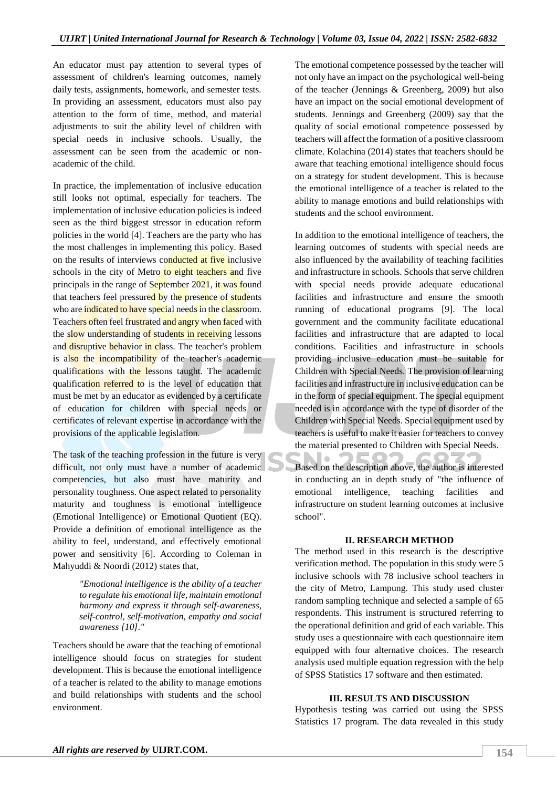An educator must pay attention to several types of assessment of children's learning outcomes, namely daily tests, assignments, homework, and semester tests. In providing an assessment, educators must also pay attention to the form of time, method, and material adjustments to suit the ability level of children with special needs in inclusive schools. Usually, the assessment can be seen from the academic or nonacademic of the child.

In practice, the implementation of inclusive education still looks not optimal, especially for teachers. The implementation of inclusive education policies is indeed seen as the third biggest stressor in education reform policies in the world [4]. Teachers are the party who has the most challenges in implementing this policy. Based on the results of interviews conducted at five inclusive schools in the city of Metro to eight teachers and five principals in the range of September 2021, it was found that teachers feel pressured by the presence of students who are indicated to have special needs in the classroom. Teachers often feel frustrated and angry when faced with the slow understanding of students in receiving lessons and disruptive behavior in class. The teacher's problem is also the incompatibility of the teacher's academic qualifications with the lessons taught. The academic qualification referred to is the level of education that must be met by an educator as evidenced by a certificate of education for children with special needs or certificates of relevant expertise in accordance with the provisions of the applicable legislation.

The task of the teaching profession in the future is very difficult, not only must have a number of academic competencies, but also must have maturity and personality toughness. One aspect related to personality maturity and toughness is emotional intelligence (Emotional Intelligence) or Emotional Quotient (EQ). Provide a definition of emotional intelligence as the ability to feel, understand, and effectively emotional power and sensitivity [6]. According to Coleman in Mahyuddi & Noordi (2012) states that,

> *"Emotional intelligence is the ability of a teacher to regulate his emotional life, maintain emotional harmony and express it through self-awareness, self-control, self-motivation, empathy and social awareness [10]."*

Teachers should be aware that the teaching of emotional intelligence should focus on strategies for student development. This is because the emotional intelligence of a teacher is related to the ability to manage emotions and build relationships with students and the school environment.

The emotional competence possessed by the teacher will not only have an impact on the psychological well-being of the teacher (Jennings & Greenberg, 2009) but also have an impact on the social emotional development of students. Jennings and Greenberg (2009) say that the quality of social emotional competence possessed by teachers will affect the formation of a positive classroom climate. Kolachina (2014) states that teachers should be aware that teaching emotional intelligence should focus on a strategy for student development. This is because the emotional intelligence of a teacher is related to the ability to manage emotions and build relationships with students and the school environment.

In addition to the emotional intelligence of teachers, the learning outcomes of students with special needs are also influenced by the availability of teaching facilities and infrastructure in schools. Schools that serve children with special needs provide adequate educational facilities and infrastructure and ensure the smooth running of educational programs [9]. The local government and the community facilitate educational facilities and infrastructure that are adapted to local conditions. Facilities and infrastructure in schools providing inclusive education must be suitable for Children with Special Needs. The provision of learning facilities and infrastructure in inclusive education can be in the form of special equipment. The special equipment needed is in accordance with the type of disorder of the Children with Special Needs. Special equipment used by teachers is useful to make it easier for teachers to convey the material presented to Children with Special Needs.

H a Based on the description above, the author is interested in conducting an in depth study of "the influence of emotional intelligence, teaching facilities and infrastructure on student learning outcomes at inclusive school".

#### **II. RESEARCH METHOD**

The method used in this research is the descriptive verification method. The population in this study were 5 inclusive schools with 78 inclusive school teachers in the city of Metro, Lampung. This study used cluster random sampling technique and selected a sample of 65 respondents. This instrument is structured referring to the operational definition and grid of each variable. This study uses a questionnaire with each questionnaire item equipped with four alternative choices. The research analysis used multiple equation regression with the help of SPSS Statistics 17 software and then estimated.

#### **III. RESULTS AND DISCUSSION**

Hypothesis testing was carried out using the SPSS Statistics 17 program. The data revealed in this study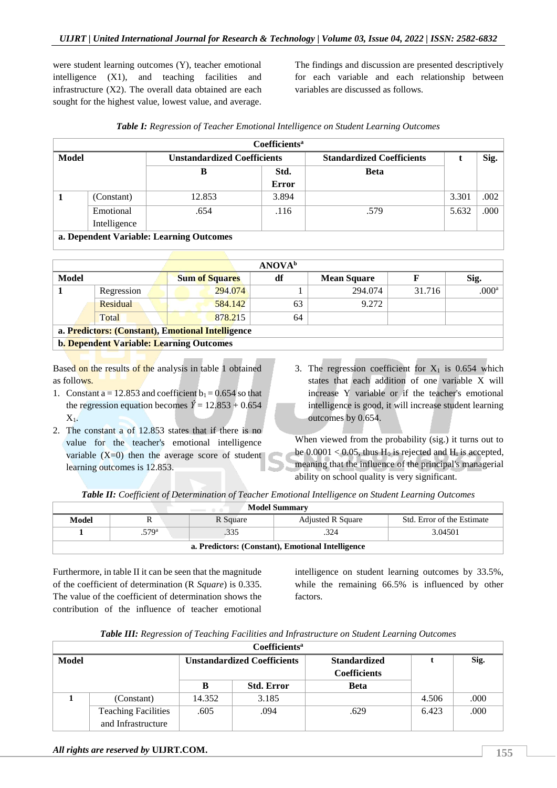were student learning outcomes (Y), teacher emotional intelligence (X1), and teaching facilities and infrastructure (X2). The overall data obtained are each sought for the highest value, lowest value, and average.

The findings and discussion are presented descriptively for each variable and each relationship between variables are discussed as follows.

| Table I: Regression of Teacher Emotional Intelligence on Student Learning Outcomes |  |
|------------------------------------------------------------------------------------|--|
|------------------------------------------------------------------------------------|--|

| Coefficients <sup>a</sup> |              |                                    |       |                                  |       |      |  |  |  |  |  |
|---------------------------|--------------|------------------------------------|-------|----------------------------------|-------|------|--|--|--|--|--|
| Model                     |              | <b>Unstandardized Coefficients</b> |       | <b>Standardized Coefficients</b> |       | Sig. |  |  |  |  |  |
|                           |              |                                    | Std.  | <b>Beta</b>                      |       |      |  |  |  |  |  |
|                           |              |                                    | Error |                                  |       |      |  |  |  |  |  |
|                           | (Constant)   | 12.853                             | 3.894 |                                  | 3.301 | .002 |  |  |  |  |  |
|                           | Emotional    | .654                               | .116  | .579                             | 5.632 | .000 |  |  |  |  |  |
|                           | Intelligence |                                    |       |                                  |       |      |  |  |  |  |  |

**a. Dependent Variable: Learning Outcomes**

| <b>ANOVA</b> <sup>b</sup>                         |                                                 |                       |    |                    |        |                   |  |  |  |  |
|---------------------------------------------------|-------------------------------------------------|-----------------------|----|--------------------|--------|-------------------|--|--|--|--|
| Model                                             |                                                 | <b>Sum of Squares</b> | df | <b>Mean Square</b> |        | Sig.              |  |  |  |  |
|                                                   | Regression                                      | 294,074               |    | 294.074            | 31.716 | .000 <sup>a</sup> |  |  |  |  |
|                                                   | Residual                                        | 584.142               | 63 | 9.272              |        |                   |  |  |  |  |
|                                                   | Total                                           | 878.215               | 64 |                    |        |                   |  |  |  |  |
| a. Predictors: (Constant), Emotional Intelligence |                                                 |                       |    |                    |        |                   |  |  |  |  |
|                                                   | <b>b. Dependent Variable: Learning Outcomes</b> |                       |    |                    |        |                   |  |  |  |  |

Based on the results of the analysis in table 1 obtained as follows.

- 1. Constant a = 12.853 and coefficient  $b_1 = 0.654$  so that the regression equation becomes  $\hat{Y} = 12.853 + 0.654$  $X<sub>1</sub>$ .
- 2. The constant a of 12.853 states that if there is no value for the teacher's emotional intelligence variable  $(X=0)$  then the average score of student learning outcomes is 12.853.
- 3. The regression coefficient for  $X_1$  is 0.654 which states that each addition of one variable X will increase Y variable or if the teacher's emotional intelligence is good, it will increase student learning outcomes by 0.654.

When viewed from the probability (sig.) it turns out to be  $0.0001 < 0.05$ , thus H<sub>0</sub> is rejected and H<sub>i</sub> is accepted, meaning that the influence of the principal's managerial ability on school quality is very significant.

*Table II: Coefficient of Determination of Teacher Emotional Intelligence on Student Learning Outcomes*

| <b>Model Summary</b><br>$\qquad \qquad \circ \quad \circ \quad$             |                  |  |  |  |  |  |  |  |  |  |
|-----------------------------------------------------------------------------|------------------|--|--|--|--|--|--|--|--|--|
| Std. Error of the Estimate<br><b>Adjusted R Square</b><br>R Square<br>Model |                  |  |  |  |  |  |  |  |  |  |
|                                                                             | .579ª<br>3.04501 |  |  |  |  |  |  |  |  |  |
| a. Predictors: (Constant), Emotional Intelligence                           |                  |  |  |  |  |  |  |  |  |  |

Furthermore, in table II it can be seen that the magnitude of the coefficient of determination (R *Square*) is 0.335. The value of the coefficient of determination shows the contribution of the influence of teacher emotional

intelligence on student learning outcomes by 33.5%, while the remaining 66.5% is influenced by other factors.

| Table III: Regression of Teaching Facilities and Infrastructure on Student Learning Outcomes |  |
|----------------------------------------------------------------------------------------------|--|
|----------------------------------------------------------------------------------------------|--|

| <b>Coefficients<sup>a</sup></b> |                            |                                    |                   |                                            |       |      |  |  |  |  |  |  |
|---------------------------------|----------------------------|------------------------------------|-------------------|--------------------------------------------|-------|------|--|--|--|--|--|--|
| Model                           |                            | <b>Unstandardized Coefficients</b> |                   | <b>Standardized</b><br><b>Coefficients</b> |       | Sig. |  |  |  |  |  |  |
|                                 |                            | B                                  | <b>Std. Error</b> | <b>Beta</b>                                |       |      |  |  |  |  |  |  |
|                                 | (Constant)                 | 14.352                             | 3.185             |                                            | 4.506 | .000 |  |  |  |  |  |  |
|                                 | <b>Teaching Facilities</b> | .605                               | .094              | .629                                       | 6.423 | .000 |  |  |  |  |  |  |
|                                 | and Infrastructure         |                                    |                   |                                            |       |      |  |  |  |  |  |  |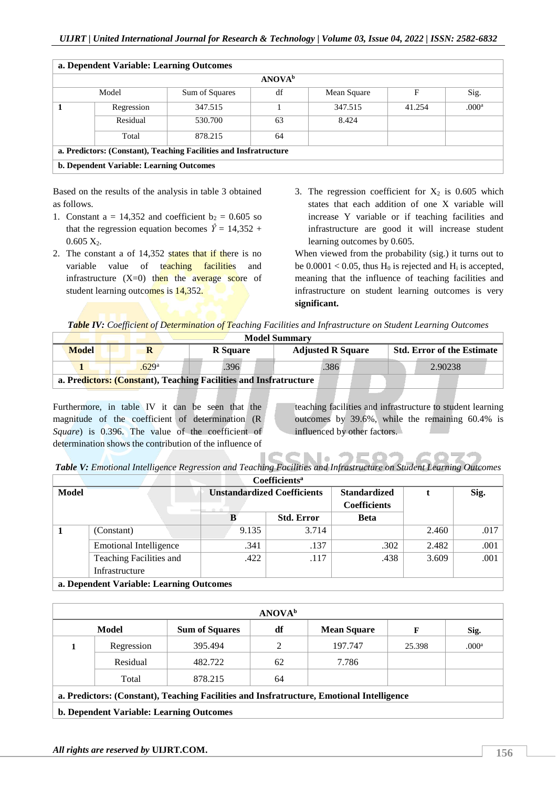| a. Dependent Variable: Learning Outcomes                          |                                          |                |                           |             |        |                   |  |  |  |
|-------------------------------------------------------------------|------------------------------------------|----------------|---------------------------|-------------|--------|-------------------|--|--|--|
|                                                                   |                                          |                | <b>ANOVA</b> <sup>b</sup> |             |        |                   |  |  |  |
|                                                                   | Model                                    | Sum of Squares | df                        | Mean Square | F      | Sig.              |  |  |  |
|                                                                   | Regression                               | 347.515        |                           | 347.515     | 41.254 | .000 <sup>a</sup> |  |  |  |
|                                                                   | Residual                                 | 530.700        | 63                        | 8.424       |        |                   |  |  |  |
|                                                                   | Total                                    | 878.215        | 64                        |             |        |                   |  |  |  |
| a. Predictors: (Constant), Teaching Facilities and Insfratructure |                                          |                |                           |             |        |                   |  |  |  |
|                                                                   | b. Dependent Variable: Learning Outcomes |                |                           |             |        |                   |  |  |  |

Based on the results of the analysis in table 3 obtained as follows.

- 1. Constant a = 14,352 and coefficient  $b_2 = 0.605$  so that the regression equation becomes  $\hat{Y} = 14,352 +$  $0.605$   $X_2$ .
- 2. The constant a of 14,352 states that if there is no variable value of teaching facilities and infrastructure  $(X=0)$  then the average score of student learning outcomes is 14,352.
- 3. The regression coefficient for  $X_2$  is 0.605 which states that each addition of one X variable will increase Y variable or if teaching facilities and infrastructure are good it will increase student learning outcomes by 0.605.

When viewed from the probability (sig.) it turns out to be  $0.0001 < 0.05$ , thus  $H_0$  is rejected and  $H_i$  is accepted, meaning that the influence of teaching facilities and infrastructure on student learning outcomes is very **significant.**

|  |  |  |  | Table IV: Coefficient of Determination of Teaching Facilities and Infrastructure on Student Learning Outcomes |  |  |
|--|--|--|--|---------------------------------------------------------------------------------------------------------------|--|--|
|  |  |  |  |                                                                                                               |  |  |

| <b>Model Summary</b>                                                                             |                                                                   |      |      |         |  |  |  |  |  |  |  |
|--------------------------------------------------------------------------------------------------|-------------------------------------------------------------------|------|------|---------|--|--|--|--|--|--|--|
| <b>Model</b><br><b>Std. Error of the Estimate</b><br><b>Adjusted R Square</b><br><b>R</b> Square |                                                                   |      |      |         |  |  |  |  |  |  |  |
|                                                                                                  | .629 <sup>a</sup>                                                 | .396 | .386 | 2.90238 |  |  |  |  |  |  |  |
|                                                                                                  | a. Predictors: (Constant), Teaching Facilities and Insfratructure |      |      |         |  |  |  |  |  |  |  |

Furthermore, in table IV it can be seen that the magnitude of the coefficient of determination (R *Square*) is 0.396. The value of the coefficient of determination shows the contribution of the influence of

teaching facilities and infrastructure to student learning outcomes by 39.6%, while the remaining 60.4% is influenced by other factors.

. I o  $\mathbb{R}^+$ *Table V: Emotional Intelligence Regression and Teaching Facilities and Infrastructure on Student Learning Outcomes*

| Coefficients <sup>a</sup> |                                          |                                    |                   |                     |       |      |  |  |  |  |  |
|---------------------------|------------------------------------------|------------------------------------|-------------------|---------------------|-------|------|--|--|--|--|--|
| Model                     |                                          | <b>Unstandardized Coefficients</b> |                   | <b>Standardized</b> |       | Sig. |  |  |  |  |  |
|                           |                                          | <b>Coefficients</b>                |                   |                     |       |      |  |  |  |  |  |
|                           |                                          |                                    | <b>Std. Error</b> | <b>Beta</b>         |       |      |  |  |  |  |  |
|                           | (Constant)                               | 9.135                              | 3.714             |                     | 2.460 | .017 |  |  |  |  |  |
|                           | <b>Emotional Intelligence</b>            | .341                               | .137              | .302                | 2.482 | .001 |  |  |  |  |  |
|                           | Teaching Facilities and                  | .422                               | .117              | .438                | 3.609 | .001 |  |  |  |  |  |
|                           | Infrastructure                           |                                    |                   |                     |       |      |  |  |  |  |  |
|                           | a. Dependent Variable: Learning Outcomes |                                    |                   |                     |       |      |  |  |  |  |  |

|                                                                                           |            |                       | <b>ANOVA</b> <sup>b</sup> |                    |        |                   |  |  |  |
|-------------------------------------------------------------------------------------------|------------|-----------------------|---------------------------|--------------------|--------|-------------------|--|--|--|
|                                                                                           | Model      | <b>Sum of Squares</b> | df                        | <b>Mean Square</b> | F      | Sig.              |  |  |  |
|                                                                                           | Regression | 395.494               | ↑                         | 197.747            | 25.398 | .000 <sup>a</sup> |  |  |  |
|                                                                                           | Residual   | 482.722               | 62                        | 7.786              |        |                   |  |  |  |
|                                                                                           | Total      | 878.215               | 64                        |                    |        |                   |  |  |  |
| a. Predictors: (Constant), Teaching Facilities and Insfratructure, Emotional Intelligence |            |                       |                           |                    |        |                   |  |  |  |
|                                                                                           |            |                       |                           |                    |        |                   |  |  |  |

**b. Dependent Variable: Learning Outcomes**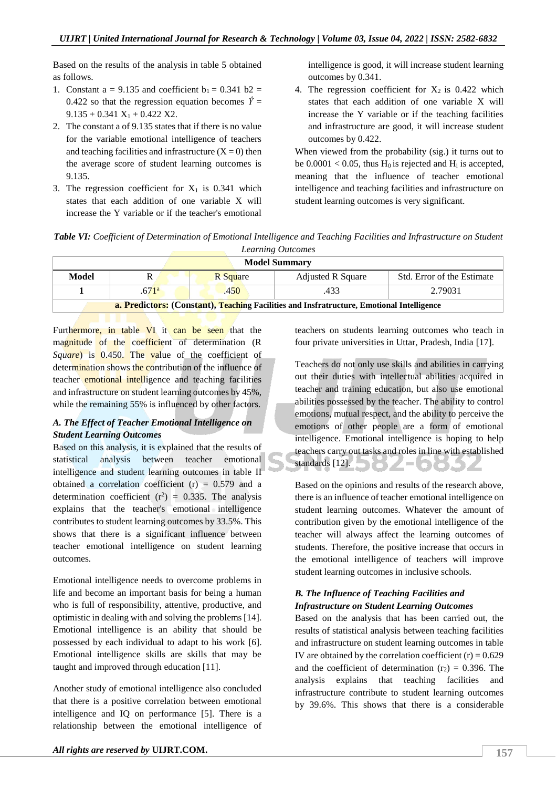Based on the results of the analysis in table 5 obtained as follows.

- 1. Constant a = 9.135 and coefficient  $b_1 = 0.341$  b2 = 0.422 so that the regression equation becomes  $\hat{Y} =$  $9.135 + 0.341 X_1 + 0.422 X2$ .
- 2. The constant a of 9.135 states that if there is no value for the variable emotional intelligence of teachers and teaching facilities and infrastructure  $(X = 0)$  then the average score of student learning outcomes is 9.135.
- 3. The regression coefficient for  $X_1$  is 0.341 which states that each addition of one variable X will increase the Y variable or if the teacher's emotional

intelligence is good, it will increase student learning outcomes by 0.341.

4. The regression coefficient for  $X_2$  is 0.422 which states that each addition of one variable X will increase the Y variable or if the teaching facilities and infrastructure are good, it will increase student outcomes by 0.422.

When viewed from the probability (sig.) it turns out to be  $0.0001 < 0.05$ , thus H<sub>0</sub> is rejected and H<sub>i</sub> is accepted, meaning that the influence of teacher emotional intelligence and teaching facilities and infrastructure on student learning outcomes is very significant.

*Table VI: Coefficient of Determination of Emotional Intelligence and Teaching Facilities and Infrastructure on Student Learning Outcomes*

| Learning Outcomes                                                                         |                                              |  |  |  |  |  |  |  |  |  |
|-------------------------------------------------------------------------------------------|----------------------------------------------|--|--|--|--|--|--|--|--|--|
| <b>Model Summary</b>                                                                      |                                              |  |  |  |  |  |  |  |  |  |
| Model<br>Std. Error of the Estimate<br><b>Adjusted R Square</b><br>R Square               |                                              |  |  |  |  |  |  |  |  |  |
|                                                                                           | 2.79031<br>.671 <sup>a</sup><br>.450<br>.433 |  |  |  |  |  |  |  |  |  |
| a. Predictors: (Constant), Teaching Facilities and Insfratructure, Emotional Intelligence |                                              |  |  |  |  |  |  |  |  |  |

Furthermore, in table VI it can be seen that the magnitude of the coefficient of determination (R) *Square*) is 0.450. The value of the coefficient of determination shows the contribution of the influence of teacher emotional intelligence and teaching facilities and infrastructure on student learning outcomes by 45%, while the remaining 55% is influenced by other factors.

#### *A. The Effect of Teacher Emotional Intelligence on Student Learning Outcomes*

Based on this analysis, it is explained that the results of statistical analysis between teacher emotional intelligence and student learning outcomes in table II obtained a correlation coefficient  $(r) = 0.579$  and a determination coefficient  $(r^2) = 0.335$ . The analysis explains that the teacher's emotional intelligence contributes to student learning outcomes by 33.5%. This shows that there is a significant influence between teacher emotional intelligence on student learning outcomes.

Emotional intelligence needs to overcome problems in life and become an important basis for being a human who is full of responsibility, attentive, productive, and optimistic in dealing with and solving the problems [14]. Emotional intelligence is an ability that should be possessed by each individual to adapt to his work [6]. Emotional intelligence skills are skills that may be taught and improved through education [11].

Another study of emotional intelligence also concluded that there is a positive correlation between emotional intelligence and IQ on performance [5]. There is a relationship between the emotional intelligence of teachers on students learning outcomes who teach in four private universities in Uttar, Pradesh, India [17].

Teachers do not only use skills and abilities in carrying out their duties with intellectual abilities acquired in teacher and training education, but also use emotional abilities possessed by the teacher. The ability to control emotions, mutual respect, and the ability to perceive the emotions of other people are a form of emotional intelligence. Emotional intelligence is hoping to help teachers carry out tasks and roles in line with established standards [12]. **A** 

Based on the opinions and results of the research above, there is an influence of teacher emotional intelligence on student learning outcomes. Whatever the amount of contribution given by the emotional intelligence of the teacher will always affect the learning outcomes of students. Therefore, the positive increase that occurs in the emotional intelligence of teachers will improve student learning outcomes in inclusive schools.

#### *B. The Influence of Teaching Facilities and Infrastructure on Student Learning Outcomes*

Based on the analysis that has been carried out, the results of statistical analysis between teaching facilities and infrastructure on student learning outcomes in table IV are obtained by the correlation coefficient  $(r) = 0.629$ and the coefficient of determination  $(r_2) = 0.396$ . The analysis explains that teaching facilities and infrastructure contribute to student learning outcomes by 39.6%. This shows that there is a considerable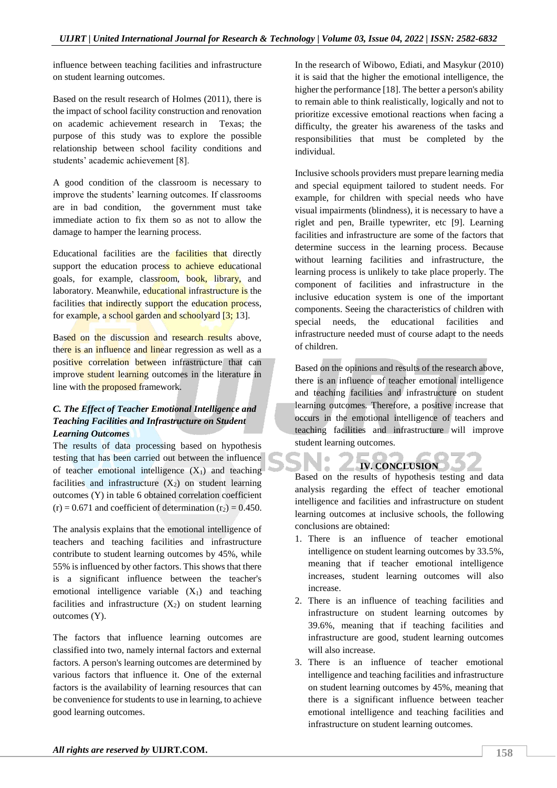influence between teaching facilities and infrastructure on student learning outcomes.

Based on the result research of Holmes (2011), there is the impact of school facility construction and renovation on academic achievement research in Texas; the purpose of this study was to explore the possible relationship between school facility conditions and students' academic achievement [8].

A good condition of the classroom is necessary to improve the students' learning outcomes. If classrooms are in bad condition, the government must take immediate action to fix them so as not to allow the damage to hamper the learning process.

Educational facilities are the facilities that directly support the education process to achieve educational goals, for example, classroom, book, library, and laboratory. Meanwhile, educational infrastructure is the facilities that indirectly support the education process, for example, a school garden and schoolyard [3; 13].

Based on the discussion and research results above, there is an influence and linear regression as well as a positive correlation between infrastructure that can improve student learning outcomes in the literature in line with the proposed framework.

#### *C. The Effect of Teacher Emotional Intelligence and Teaching Facilities and Infrastructure on Student Learning Outcomes*

The results of data processing based on hypothesis testing that has been carried out between the influence of teacher emotional intelligence  $(X_1)$  and teaching facilities and infrastructure  $(X_2)$  on student learning outcomes (Y) in table 6 obtained correlation coefficient  $(r) = 0.671$  and coefficient of determination  $(r_2) = 0.450$ .

The analysis explains that the emotional intelligence of teachers and teaching facilities and infrastructure contribute to student learning outcomes by 45%, while 55% is influenced by other factors. This shows that there is a significant influence between the teacher's emotional intelligence variable  $(X_1)$  and teaching facilities and infrastructure  $(X_2)$  on student learning outcomes (Y).

The factors that influence learning outcomes are classified into two, namely internal factors and external factors. A person's learning outcomes are determined by various factors that influence it. One of the external factors is the availability of learning resources that can be convenience for students to use in learning, to achieve good learning outcomes.

In the research of Wibowo, Ediati, and Masykur (2010) it is said that the higher the emotional intelligence, the higher the performance [18]. The better a person's ability to remain able to think realistically, logically and not to prioritize excessive emotional reactions when facing a difficulty, the greater his awareness of the tasks and responsibilities that must be completed by the individual.

Inclusive schools providers must prepare learning media and special equipment tailored to student needs. For example, for children with special needs who have visual impairments (blindness), it is necessary to have a riglet and pen, Braille typewriter, etc [9]. Learning facilities and infrastructure are some of the factors that determine success in the learning process. Because without learning facilities and infrastructure, the learning process is unlikely to take place properly. The component of facilities and infrastructure in the inclusive education system is one of the important components. Seeing the characteristics of children with special needs, the educational facilities and infrastructure needed must of course adapt to the needs of children.

Based on the opinions and results of the research above, there is an influence of teacher emotional intelligence and teaching facilities and infrastructure on student learning outcomes. Therefore, a positive increase that occurs in the emotional intelligence of teachers and teaching facilities and infrastructure will improve student learning outcomes.

### **IV. CONCLUSION**

 $\alpha$ 

Based on the results of hypothesis testing and data analysis regarding the effect of teacher emotional intelligence and facilities and infrastructure on student learning outcomes at inclusive schools, the following conclusions are obtained:

- 1. There is an influence of teacher emotional intelligence on student learning outcomes by 33.5%, meaning that if teacher emotional intelligence increases, student learning outcomes will also increase.
- 2. There is an influence of teaching facilities and infrastructure on student learning outcomes by 39.6%, meaning that if teaching facilities and infrastructure are good, student learning outcomes will also increase.
- 3. There is an influence of teacher emotional intelligence and teaching facilities and infrastructure on student learning outcomes by 45%, meaning that there is a significant influence between teacher emotional intelligence and teaching facilities and infrastructure on student learning outcomes.